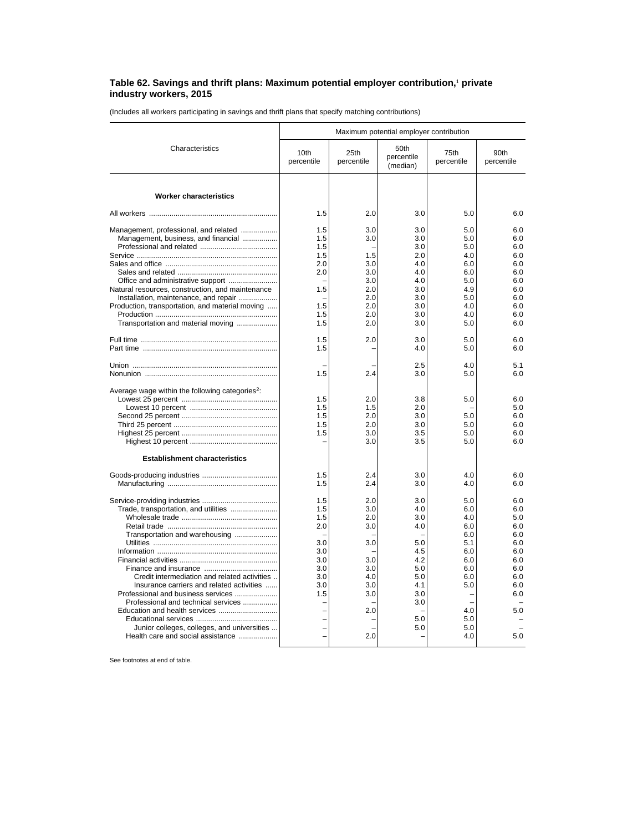## **Table 62. Savings and thrift plans: Maximum potential employer contribution,**<sup>1</sup>  **private industry workers, 2015**

(Includes all workers participating in savings and thrift plans that specify matching contributions)

|                                                                                                                                                                                                                                                                                                                                      | Maximum potential employer contribution                                   |                                                                                  |                                                                                                |                                                                                                                                   |                                                                                                |  |
|--------------------------------------------------------------------------------------------------------------------------------------------------------------------------------------------------------------------------------------------------------------------------------------------------------------------------------------|---------------------------------------------------------------------------|----------------------------------------------------------------------------------|------------------------------------------------------------------------------------------------|-----------------------------------------------------------------------------------------------------------------------------------|------------------------------------------------------------------------------------------------|--|
| Characteristics                                                                                                                                                                                                                                                                                                                      | 10th<br>percentile                                                        | 25th<br>percentile                                                               | 50th<br>percentile<br>(median)                                                                 | 75th<br>percentile                                                                                                                | 90th<br>percentile                                                                             |  |
| <b>Worker characteristics</b>                                                                                                                                                                                                                                                                                                        |                                                                           |                                                                                  |                                                                                                |                                                                                                                                   |                                                                                                |  |
|                                                                                                                                                                                                                                                                                                                                      | 1.5                                                                       | 2.0                                                                              | 3.0                                                                                            | 5.0                                                                                                                               | 6.0                                                                                            |  |
| Management, professional, and related<br>Management, business, and financial<br>Natural resources, construction, and maintenance<br>Installation, maintenance, and repair<br>Production, transportation, and material moving                                                                                                         | 1.5<br>1.5<br>1.5<br>1.5<br>2.0<br>2.0<br>1.5<br>1.5                      | 3.0<br>3.0<br>1.5<br>3.0<br>3.0<br>3.0<br>2.0<br>2.0<br>2.0                      | 3.0<br>3.0<br>3.0<br>2.0<br>4.0<br>4.0<br>4.0<br>3.0<br>3.0<br>3.0                             | 5.0<br>5.0<br>5.0<br>4.0<br>6.0<br>6.0<br>5.0<br>4.9<br>5.0<br>4.0                                                                | 6.0<br>6.0<br>6.0<br>6.0<br>6.0<br>6.0<br>6.0<br>6.0<br>6.0<br>6.0                             |  |
| Transportation and material moving                                                                                                                                                                                                                                                                                                   | 1.5<br>1.5                                                                | 2.0<br>2.0                                                                       | 3.0<br>3.0                                                                                     | 4.0<br>5.0                                                                                                                        | 6.0<br>6.0                                                                                     |  |
|                                                                                                                                                                                                                                                                                                                                      | 1.5<br>1.5                                                                | 2.0                                                                              | 3.0<br>4.0                                                                                     | 5.0<br>5.0                                                                                                                        | 6.0<br>6.0                                                                                     |  |
|                                                                                                                                                                                                                                                                                                                                      | 1.5                                                                       | 2.4                                                                              | 2.5<br>3.0                                                                                     | 4.0<br>5.0                                                                                                                        | 5.1<br>6.0                                                                                     |  |
| Average wage within the following categories <sup>2</sup> :                                                                                                                                                                                                                                                                          | 1.5<br>1.5<br>1.5<br>1.5<br>1.5                                           | 2.0<br>1.5<br>2.0<br>2.0<br>3.0<br>3.0                                           | 3.8<br>2.0<br>3.0<br>3.0<br>3.5<br>3.5                                                         | 5.0<br>5.0<br>5.0<br>5.0<br>5.0                                                                                                   | 6.0<br>5.0<br>6.0<br>6.0<br>6.0<br>6.0                                                         |  |
| <b>Establishment characteristics</b>                                                                                                                                                                                                                                                                                                 | 1.5<br>1.5                                                                | 2.4<br>2.4                                                                       | 3.0<br>3.0                                                                                     | 4.0<br>4.0                                                                                                                        | 6.0<br>6.0                                                                                     |  |
| Trade, transportation, and utilities<br>Transportation and warehousing<br>Credit intermediation and related activities<br>Insurance carriers and related activities<br>Professional and business services<br>Professional and technical services<br>Junior colleges, colleges, and universities<br>Health care and social assistance | 1.5<br>1.5<br>1.5<br>2.0<br>3.0<br>3.0<br>3.0<br>3.0<br>3.0<br>3.0<br>1.5 | 2.0<br>3.0<br>2.0<br>3.0<br>3.0<br>3.0<br>3.0<br>4.0<br>3.0<br>3.0<br>2.0<br>2.0 | 3.0<br>4.0<br>3.0<br>4.0<br>5.0<br>4.5<br>4.2<br>5.0<br>5.0<br>4.1<br>3.0<br>3.0<br>5.0<br>5.0 | 5.0<br>6.0<br>4.0<br>6.0<br>6.0<br>5.1<br>6.0<br>6.0<br>6.0<br>6.0<br>5.0<br>$\overline{\phantom{0}}$<br>4.0<br>5.0<br>5.0<br>4.0 | 6.0<br>6.0<br>5.0<br>6.0<br>6.0<br>6.0<br>6.0<br>6.0<br>6.0<br>6.0<br>6.0<br>6.0<br>5.0<br>5.0 |  |

See footnotes at end of table.